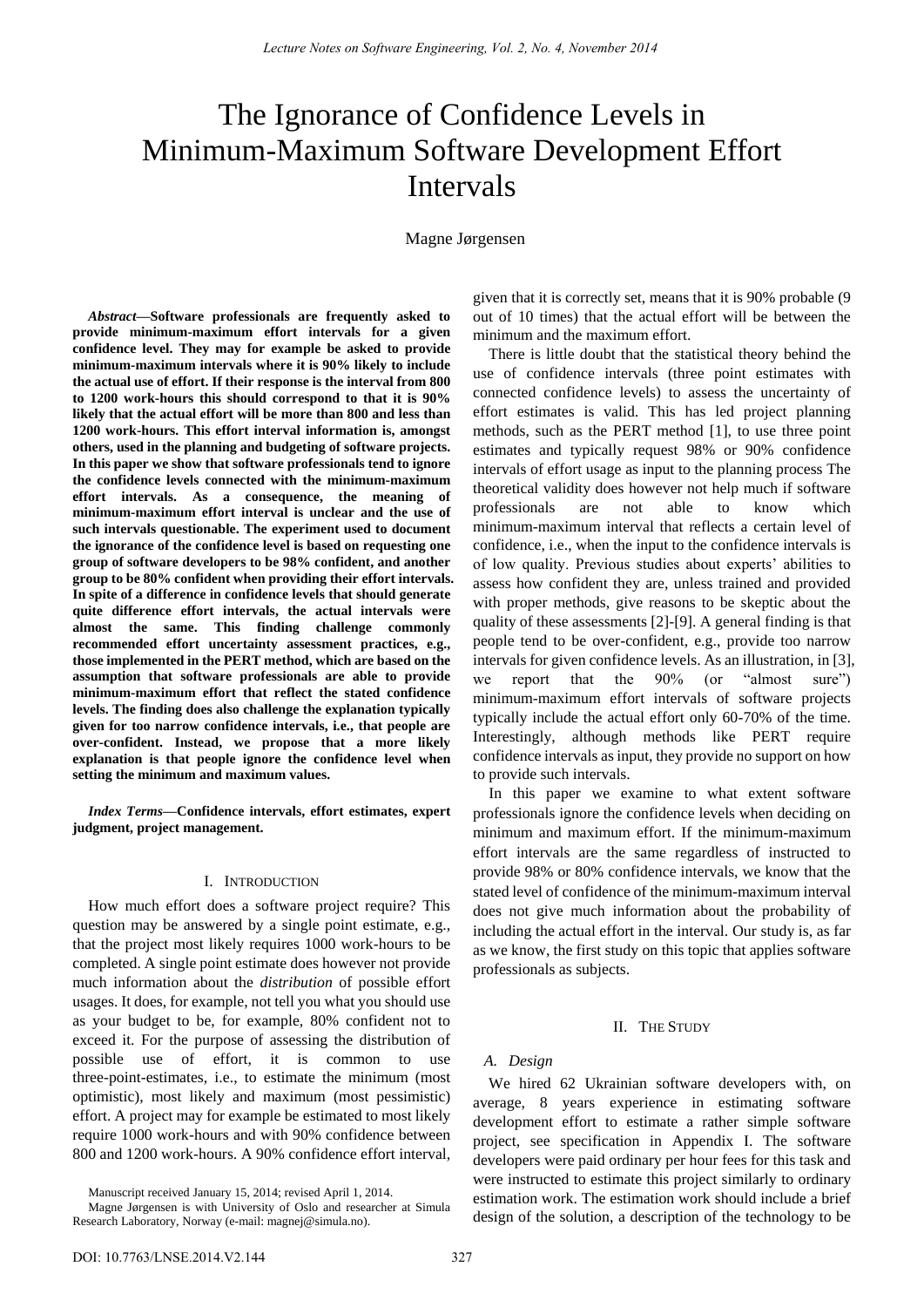# The Ignorance of Confidence Levels in Minimum-Maximum Software Development Effort Intervals

Magne Jørgensen

*Abstract***—Software professionals are frequently asked to provide minimum-maximum effort intervals for a given confidence level. They may for example be asked to provide minimum-maximum intervals where it is 90% likely to include the actual use of effort. If their response is the interval from 800 to 1200 work-hours this should correspond to that it is 90% likely that the actual effort will be more than 800 and less than 1200 work-hours. This effort interval information is, amongst others, used in the planning and budgeting of software projects. In this paper we show that software professionals tend to ignore the confidence levels connected with the minimum-maximum effort intervals. As a consequence, the meaning of minimum-maximum effort interval is unclear and the use of such intervals questionable. The experiment used to document the ignorance of the confidence level is based on requesting one group of software developers to be 98% confident, and another group to be 80% confident when providing their effort intervals. In spite of a difference in confidence levels that should generate quite difference effort intervals, the actual intervals were almost the same. This finding challenge commonly recommended effort uncertainty assessment practices, e.g., those implemented in the PERT method, which are based on the assumption that software professionals are able to provide minimum-maximum effort that reflect the stated confidence levels. The finding does also challenge the explanation typically given for too narrow confidence intervals, i.e., that people are over-confident. Instead, we propose that a more likely explanation is that people ignore the confidence level when setting the minimum and maximum values.** 

*Index Terms***—Confidence intervals, effort estimates, expert judgment, project management.** 

### I. INTRODUCTION

How much effort does a software project require? This question may be answered by a single point estimate, e.g., that the project most likely requires 1000 work-hours to be completed. A single point estimate does however not provide much information about the *distribution* of possible effort usages. It does, for example, not tell you what you should use as your budget to be, for example, 80% confident not to exceed it. For the purpose of assessing the distribution of possible use of effort, it is common to use three-point-estimates, i.e., to estimate the minimum (most optimistic), most likely and maximum (most pessimistic) effort. A project may for example be estimated to most likely require 1000 work-hours and with 90% confidence between 800 and 1200 work-hours. A 90% confidence effort interval,

Manuscript received January 15, 2014; revised April 1, 2014.

given that it is correctly set, means that it is 90% probable (9 out of 10 times) that the actual effort will be between the minimum and the maximum effort.

There is little doubt that the statistical theory behind the use of confidence intervals (three point estimates with connected confidence levels) to assess the uncertainty of effort estimates is valid. This has led project planning methods, such as the PERT method [1], to use three point estimates and typically request 98% or 90% confidence intervals of effort usage as input to the planning process The theoretical validity does however not help much if software professionals are not able to know which minimum-maximum interval that reflects a certain level of confidence, i.e., when the input to the confidence intervals is of low quality. Previous studies about experts' abilities to assess how confident they are, unless trained and provided with proper methods, give reasons to be skeptic about the quality of these assessments [2]-[9]. A general finding is that people tend to be over-confident, e.g., provide too narrow intervals for given confidence levels. As an illustration, in [3], we report that the 90% (or "almost sure") minimum-maximum effort intervals of software projects typically include the actual effort only 60-70% of the time. Interestingly, although methods like PERT require confidence intervals as input, they provide no support on how to provide such intervals.

In this paper we examine to what extent software professionals ignore the confidence levels when deciding on minimum and maximum effort. If the minimum-maximum effort intervals are the same regardless of instructed to provide 98% or 80% confidence intervals, we know that the stated level of confidence of the minimum-maximum interval does not give much information about the probability of including the actual effort in the interval. Our study is, as far as we know, the first study on this topic that applies software professionals as subjects.

## II. THE STUDY

## *A. Design*

We hired 62 Ukrainian software developers with, on average, 8 years experience in estimating software development effort to estimate a rather simple software project, see specification in Appendix I. The software developers were paid ordinary per hour fees for this task and were instructed to estimate this project similarly to ordinary estimation work. The estimation work should include a brief design of the solution, a description of the technology to be

Magne Jørgensen is with University of Oslo and researcher at Simula Research Laboratory, Norway (e-mail: magnej@simula.no).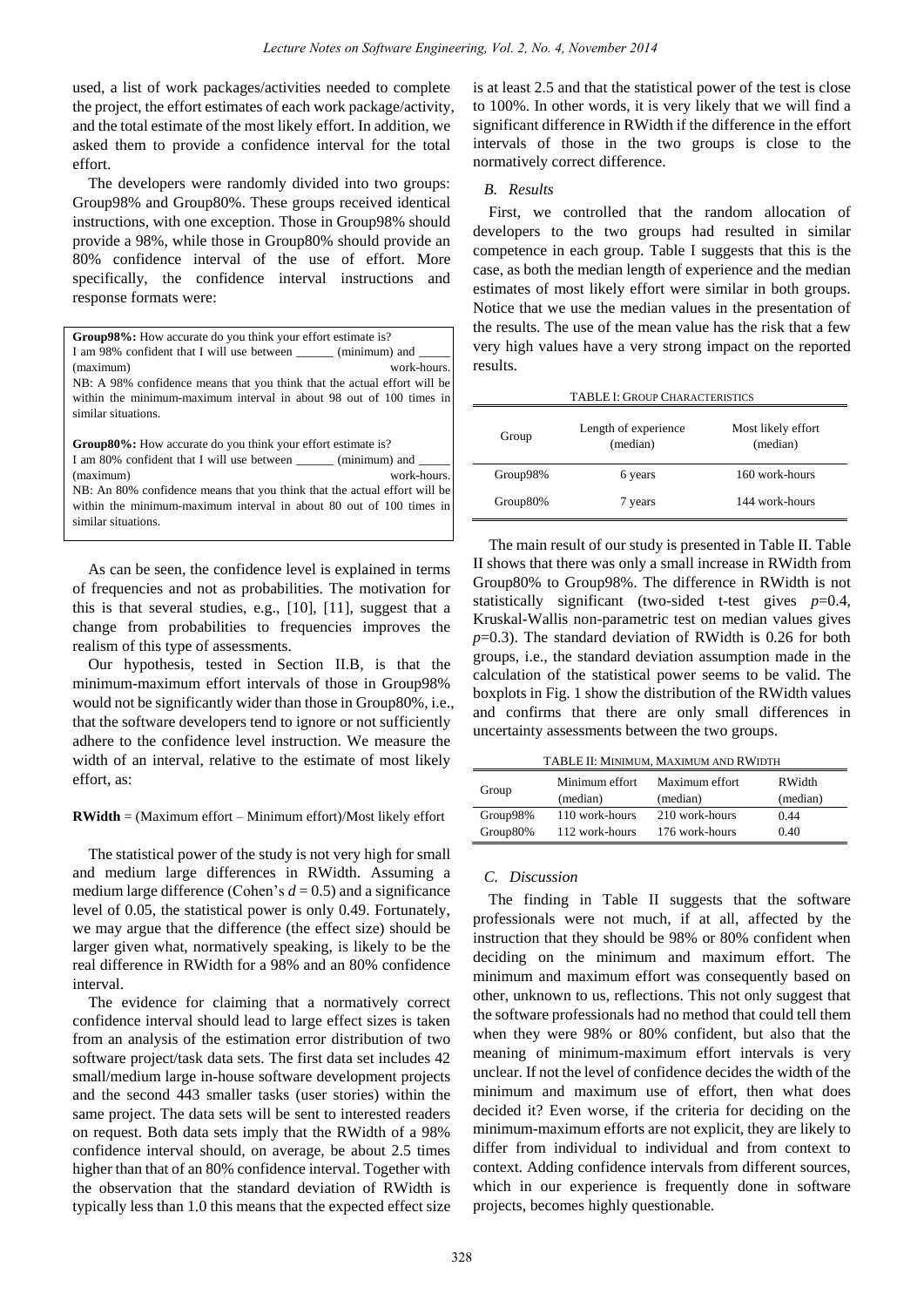used, a list of work packages/activities needed to complete the project, the effort estimates of each work package/activity, and the total estimate of the most likely effort. In addition, we asked them to provide a confidence interval for the total effort.

The developers were randomly divided into two groups: Group98% and Group80%. These groups received identical instructions, with one exception. Those in Group98% should provide a 98%, while those in Group80% should provide an 80% confidence interval of the use of effort. More specifically, the confidence interval instructions and response formats were:

| <b>Group 98%:</b> How accurate do you think your effort estimate is?      |  |  |  |  |
|---------------------------------------------------------------------------|--|--|--|--|
| I am 98% confident that I will use between (minimum) and                  |  |  |  |  |
| work-hours.<br>(maximum)                                                  |  |  |  |  |
| NB: A 98% confidence means that you think that the actual effort will be  |  |  |  |  |
| within the minimum-maximum interval in about 98 out of 100 times in       |  |  |  |  |
| similar situations.                                                       |  |  |  |  |
|                                                                           |  |  |  |  |
| <b>Group80%:</b> How accurate do you think your effort estimate is?       |  |  |  |  |
| I am 80% confident that I will use between (minimum) and                  |  |  |  |  |
| work-hours.<br>(maximum)                                                  |  |  |  |  |
| NB: An 80% confidence means that you think that the actual effort will be |  |  |  |  |
| within the minimum-maximum interval in about 80 out of 100 times in       |  |  |  |  |

As can be seen, the confidence level is explained in terms of frequencies and not as probabilities. The motivation for this is that several studies, e.g., [10], [11], suggest that a change from probabilities to frequencies improves the

similar situations.

realism of this type of assessments. Our hypothesis, tested in Section II.B, is that the minimum-maximum effort intervals of those in Group98% would not be significantly wider than those in Group80%, i.e., that the software developers tend to ignore or not sufficiently adhere to the confidence level instruction. We measure the width of an interval, relative to the estimate of most likely effort, as:

# **RWidth** = (Maximum effort – Minimum effort)/Most likely effort

The statistical power of the study is not very high for small and medium large differences in RWidth. Assuming a medium large difference (Cohen's  $d = 0.5$ ) and a significance level of 0.05, the statistical power is only 0.49. Fortunately, we may argue that the difference (the effect size) should be larger given what, normatively speaking, is likely to be the real difference in RWidth for a 98% and an 80% confidence interval.

The evidence for claiming that a normatively correct confidence interval should lead to large effect sizes is taken from an analysis of the estimation error distribution of two software project/task data sets. The first data set includes 42 small/medium large in-house software development projects and the second 443 smaller tasks (user stories) within the same project. The data sets will be sent to interested readers on request. Both data sets imply that the RWidth of a 98% confidence interval should, on average, be about 2.5 times higher than that of an 80% confidence interval. Together with the observation that the standard deviation of RWidth is typically less than 1.0 this means that the expected effect size is at least 2.5 and that the statistical power of the test is close to 100%. In other words, it is very likely that we will find a significant difference in RWidth if the difference in the effort intervals of those in the two groups is close to the normatively correct difference.

## *B. Results*

First, we controlled that the random allocation of developers to the two groups had resulted in similar competence in each group. Table I suggests that this is the case, as both the median length of experience and the median estimates of most likely effort were similar in both groups. Notice that we use the median values in the presentation of the results. The use of the mean value has the risk that a few very high values have a very strong impact on the reported results.

| <b>TABLE I: GROUP CHARACTERISTICS</b> |                                  |                                |  |  |
|---------------------------------------|----------------------------------|--------------------------------|--|--|
| Group                                 | Length of experience<br>(median) | Most likely effort<br>(median) |  |  |
| Group98%                              | 6 years                          | 160 work-hours                 |  |  |
| Group80%                              | 7 years                          | 144 work-hours                 |  |  |

The main result of our study is presented in Table II. Table II shows that there was only a small increase in RWidth from Group80% to Group98%. The difference in RWidth is not statistically significant (two-sided t-test gives  $p=0.4$ , Kruskal-Wallis non-parametric test on median values gives *p*=0.3). The standard deviation of RWidth is 0.26 for both groups, i.e., the standard deviation assumption made in the calculation of the statistical power seems to be valid. The boxplots in Fig. 1 show the distribution of the RWidth values and confirms that there are only small differences in uncertainty assessments between the two groups.

| Group    | Minimum effort<br>(median) | Maximum effort<br>(median) | <b>RWidth</b><br>(median) |
|----------|----------------------------|----------------------------|---------------------------|
| Group98% | 110 work-hours             | 210 work-hours             | 0.44                      |
| Group80% | 112 work-hours             | 176 work-hours             | 0.40                      |

# *C. Discussion*

The finding in Table II suggests that the software professionals were not much, if at all, affected by the instruction that they should be 98% or 80% confident when deciding on the minimum and maximum effort. The minimum and maximum effort was consequently based on other, unknown to us, reflections. This not only suggest that the software professionals had no method that could tell them when they were 98% or 80% confident, but also that the meaning of minimum-maximum effort intervals is very unclear. If not the level of confidence decides the width of the minimum and maximum use of effort, then what does decided it? Even worse, if the criteria for deciding on the minimum-maximum efforts are not explicit, they are likely to differ from individual to individual and from context to context. Adding confidence intervals from different sources, which in our experience is frequently done in software projects, becomes highly questionable.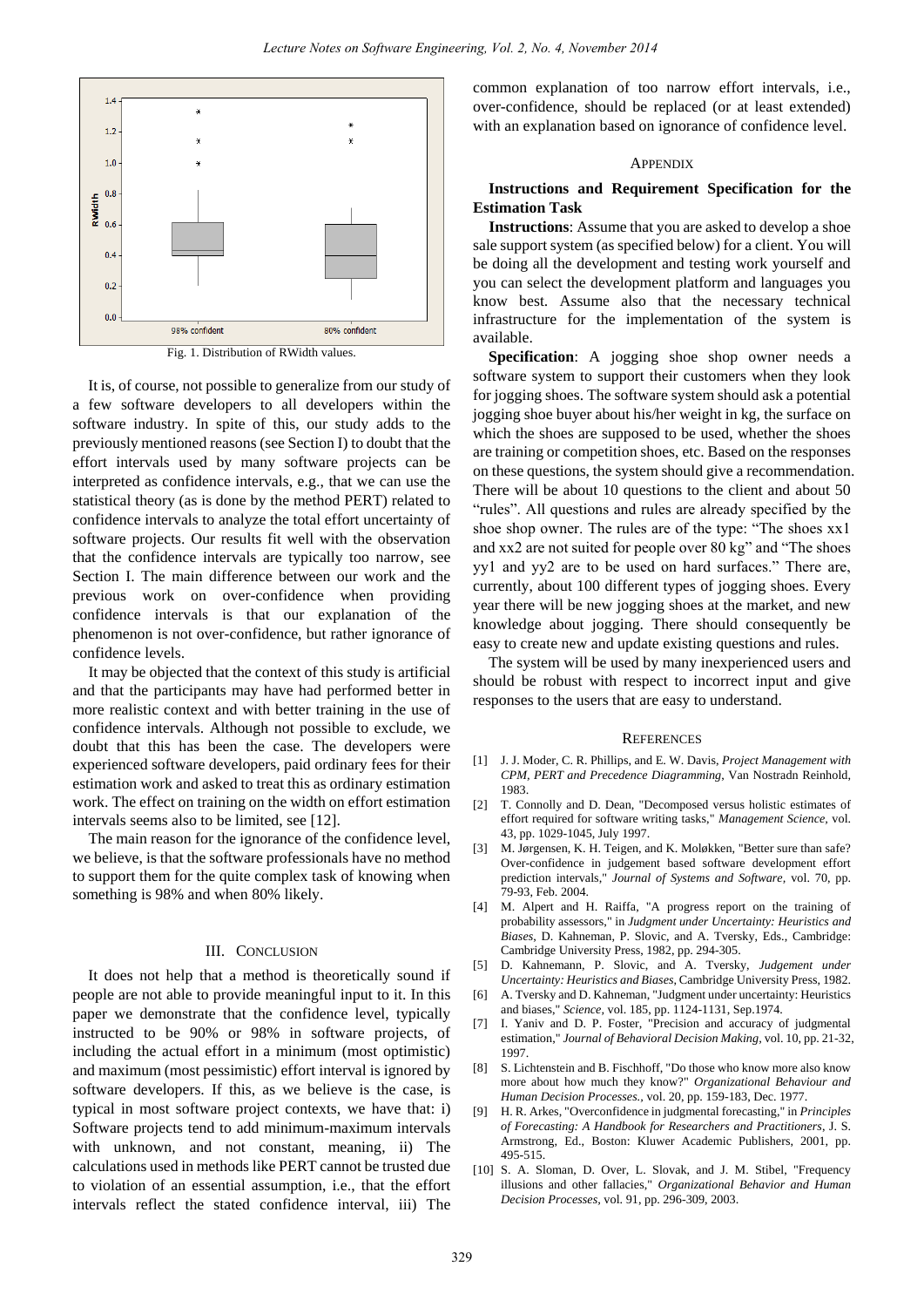

Fig. 1. Distribution of RWidth values.

It is, of course, not possible to generalize from our study of a few software developers to all developers within the software industry. In spite of this, our study adds to the previously mentioned reasons (see Section I) to doubt that the effort intervals used by many software projects can be interpreted as confidence intervals, e.g., that we can use the statistical theory (as is done by the method PERT) related to confidence intervals to analyze the total effort uncertainty of software projects. Our results fit well with the observation that the confidence intervals are typically too narrow, see Section I. The main difference between our work and the previous work on over-confidence when providing confidence intervals is that our explanation of the phenomenon is not over-confidence, but rather ignorance of confidence levels.

It may be objected that the context of this study is artificial and that the participants may have had performed better in more realistic context and with better training in the use of confidence intervals. Although not possible to exclude, we doubt that this has been the case. The developers were experienced software developers, paid ordinary fees for their estimation work and asked to treat this as ordinary estimation work. The effect on training on the width on effort estimation intervals seems also to be limited, see [12].

The main reason for the ignorance of the confidence level, we believe, is that the software professionals have no method to support them for the quite complex task of knowing when something is 98% and when 80% likely.

#### III. CONCLUSION

It does not help that a method is theoretically sound if people are not able to provide meaningful input to it. In this paper we demonstrate that the confidence level, typically instructed to be 90% or 98% in software projects, of including the actual effort in a minimum (most optimistic) and maximum (most pessimistic) effort interval is ignored by software developers. If this, as we believe is the case, is typical in most software project contexts, we have that: i) Software projects tend to add minimum-maximum intervals with unknown, and not constant, meaning, ii) The calculations used in methods like PERT cannot be trusted due to violation of an essential assumption, i.e., that the effort intervals reflect the stated confidence interval, iii) The common explanation of too narrow effort intervals, i.e., over-confidence, should be replaced (or at least extended) with an explanation based on ignorance of confidence level.

#### **APPENDIX**

# **Instructions and Requirement Specification for the Estimation Task**

**Instructions**: Assume that you are asked to develop a shoe sale support system (as specified below) for a client. You will be doing all the development and testing work yourself and you can select the development platform and languages you know best. Assume also that the necessary technical infrastructure for the implementation of the system is available.

**Specification**: A jogging shoe shop owner needs a software system to support their customers when they look for jogging shoes. The software system should ask a potential jogging shoe buyer about his/her weight in kg, the surface on which the shoes are supposed to be used, whether the shoes are training or competition shoes, etc. Based on the responses on these questions, the system should give a recommendation. There will be about 10 questions to the client and about 50 "rules". All questions and rules are already specified by the shoe shop owner. The rules are of the type: "The shoes xx1 and xx2 are not suited for people over 80 kg" and "The shoes yy1 and yy2 are to be used on hard surfaces." There are, currently, about 100 different types of jogging shoes. Every year there will be new jogging shoes at the market, and new knowledge about jogging. There should consequently be easy to create new and update existing questions and rules.

The system will be used by many inexperienced users and should be robust with respect to incorrect input and give responses to the users that are easy to understand.

#### **REFERENCES**

- [1] J. J. Moder, C. R. Phillips, and E. W. Davis, *Project Management with CPM, PERT and Precedence Diagramming*, Van Nostradn Reinhold, 1983.
- [2] T. Connolly and D. Dean, "Decomposed versus holistic estimates of effort required for software writing tasks," *Management Science,* vol. 43, pp. 1029-1045, July 1997.
- [3] M. Jørgensen, K. H. Teigen, and K. Moløkken, "Better sure than safe? Over-confidence in judgement based software development effort prediction intervals," *Journal of Systems and Software,* vol. 70, pp. 79-93, Feb. 2004.
- [4] M. Alpert and H. Raiffa, "A progress report on the training of probability assessors," in *Judgment under Uncertainty: Heuristics and Biases*, D. Kahneman, P. Slovic, and A. Tversky, Eds., Cambridge: Cambridge University Press, 1982, pp. 294-305.
- [5] D. Kahnemann, P. Slovic, and A. Tversky, *Judgement under Uncertainty: Heuristics and Biases*, Cambridge University Press, 1982.
- [6] A. Tversky and D. Kahneman, "Judgment under uncertainty: Heuristics and biases," *Science,* vol. 185, pp. 1124-1131, Sep.1974.
- [7] I. Yaniv and D. P. Foster, "Precision and accuracy of judgmental estimation," *Journal of Behavioral Decision Making,* vol. 10, pp. 21-32, 1997.
- [8] S. Lichtenstein and B. Fischhoff, "Do those who know more also know more about how much they know?" *Organizational Behaviour and Human Decision Processes.,* vol. 20, pp. 159-183, Dec. 1977.
- [9] H. R. Arkes, "Overconfidence in judgmental forecasting," in *Principles of Forecasting: A Handbook for Researchers and Practitioners*, J. S. Armstrong, Ed., Boston: Kluwer Academic Publishers, 2001, pp. 495-515.
- [10] S. A. Sloman, D. Over, L. Slovak, and J. M. Stibel, "Frequency illusions and other fallacies," *Organizational Behavior and Human Decision Processes,* vol. 91, pp. 296-309, 2003.